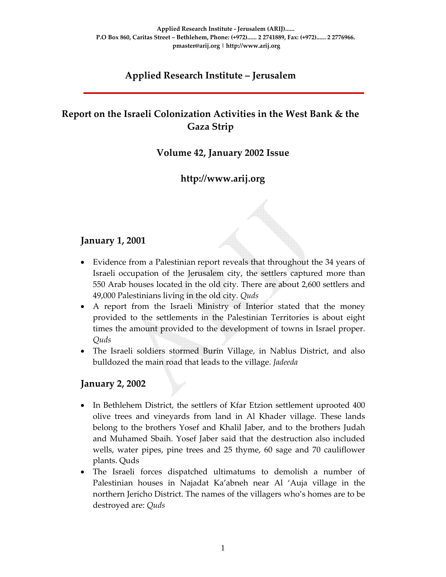# **Applied Research Institute – Jerusalem**

# **Report on the Israeli Colonization Activities in the West Bank & the Gaza Strip**

## **Volume 42, January 2002 Issue**

## **http://www.arij.org**

### **January 1, 2001**

- Evidence from a Palestinian report reveals that throughout the 34 years of Israeli occupation of the Jerusalem city, the settlers captured more than 550 Arab houses located in the old city. There are about 2,600 settlers and 49,000 Palestinians living in the old city. *Quds*
- A report from the Israeli Ministry of Interior stated that the money provided to the settlements in the Palestinian Territories is about eight times the amount provided to the development of towns in Israel proper. *Quds*
- The Israeli soldiers stormed Burin Village, in Nablus District, and also bulldozed the main road that leads to the village. *Jadeeda*

### **January 2, 2002**

- In Bethlehem District, the settlers of Kfar Etzion settlement uprooted 400 olive trees and vineyards from land in Al Khader village. These lands belong to the brothers Yosef and Khalil Jaber, and to the brothers Judah and Muhamed Sbaih. Yosef Jaber said that the destruction also included wells, water pipes, pine trees and 25 thyme, 60 sage and 70 cauliflower plants. Quds
- The Israeli forces dispatched ultimatums to demolish a number of Palestinian houses in Najadat Ka'abneh near Al 'Auja village in the northern Jericho District. The names of the villagers who's homes are to be destroyed are: *Quds*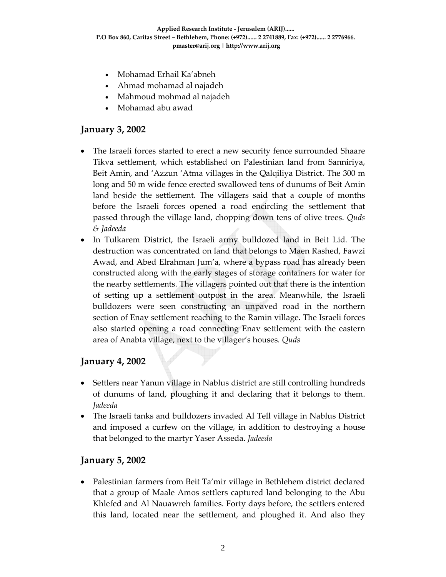- Mohamad Erhail Ka'abneh
- Ahmad mohamad al najadeh
- Mahmoud mohmad al najadeh
- Mohamad abu awad

#### **January 3, 2002**

- The Israeli forces started to erect a new security fence surrounded Shaare Tikva settlement, which established on Palestinian land from Sanniriya, Beit Amin, and 'Azzun 'Atma villages in the Qalqiliya District. The 300 m long and 50 m wide fence erected swallowed tens of dunums of Beit Amin land beside the settlement. The villagers said that a couple of months before the Israeli forces opened a road encircling the settlement that passed through the village land, chopping down tens of olive trees. *Quds & Jadeeda*
- In Tulkarem District, the Israeli army bulldozed land in Beit Lid. The destruction was concentrated on land that belongs to Maen Rashed, Fawzi Awad, and Abed Elrahman Jum'a, where a bypass road has already been constructed along with the early stages of storage containers for water for the nearby settlements. The villagers pointed out that there is the intention of setting up a settlement outpost in the area. Meanwhile, the Israeli bulldozers were seen constructing an unpaved road in the northern section of Enav settlement reaching to the Ramin village. The Israeli forces also started opening a road connecting Enav settlement with the eastern area of Anabta village, next to the villager's houses*. Quds*

#### **January 4, 2002**

- Settlers near Yanun village in Nablus district are still controlling hundreds of dunums of land, ploughing it and declaring that it belongs to them. *Jadeeda*
- The Israeli tanks and bulldozers invaded Al Tell village in Nablus District and imposed a curfew on the village, in addition to destroying a house that belonged to the martyr Yaser Asseda. *Jadeeda*

#### **January 5, 2002**

• Palestinian farmers from Beit Ta'mir village in Bethlehem district declared that a group of Maale Amos settlers captured land belonging to the Abu Khlefed and Al Nauawreh families. Forty days before, the settlers entered this land, located near the settlement, and ploughed it. And also they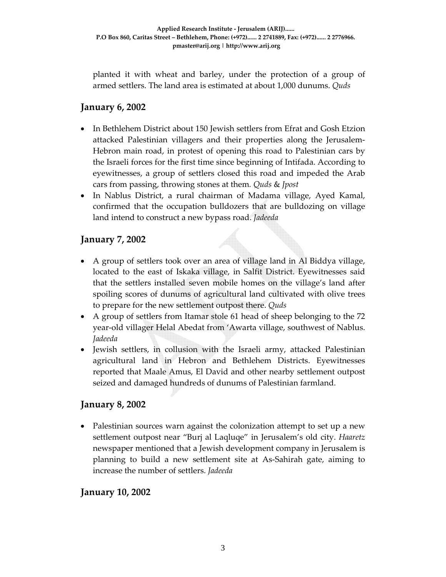planted it with wheat and barley, under the protection of a group of armed settlers. The land area is estimated at about 1,000 dunums. *Quds*

## **January 6, 2002**

- In Bethlehem District about 150 Jewish settlers from Efrat and Gosh Etzion attacked Palestinian villagers and their properties along the Jerusalem‐ Hebron main road, in protest of opening this road to Palestinian cars by the Israeli forces for the first time since beginning of Intifada. According to eyewitnesses, a group of settlers closed this road and impeded the Arab cars from passing, throwing stones at them*. Quds* & *Jpost*
- In Nablus District, a rural chairman of Madama village, Ayed Kamal, confirmed that the occupation bulldozers that are bulldozing on village land intend to construct a new bypass road. *Jadeeda*

### **January 7, 2002**

- A group of settlers took over an area of village land in Al Biddya village, located to the east of Iskaka village, in Salfit District. Eyewitnesses said that the settlers installed seven mobile homes on the village's land after spoiling scores of dunums of agricultural land cultivated with olive trees to prepare for the new settlement outpost there. *Quds*
- A group of settlers from Itamar stole 61 head of sheep belonging to the 72 year‐old villager Helal Abedat from 'Awarta village, southwest of Nablus. *Jadeeda*
- Jewish settlers, in collusion with the Israeli army, attacked Palestinian agricultural land in Hebron and Bethlehem Districts. Eyewitnesses reported that Maale Amus, El David and other nearby settlement outpost seized and damaged hundreds of dunums of Palestinian farmland.

### **January 8, 2002**

• Palestinian sources warn against the colonization attempt to set up a new settlement outpost near "Burj al Laqluqe" in Jerusalem's old city. *Haaretz* newspaper mentioned that a Jewish development company in Jerusalem is planning to build a new settlement site at As‐Sahirah gate, aiming to increase the number of settlers. *Jadeeda*

#### **January 10, 2002**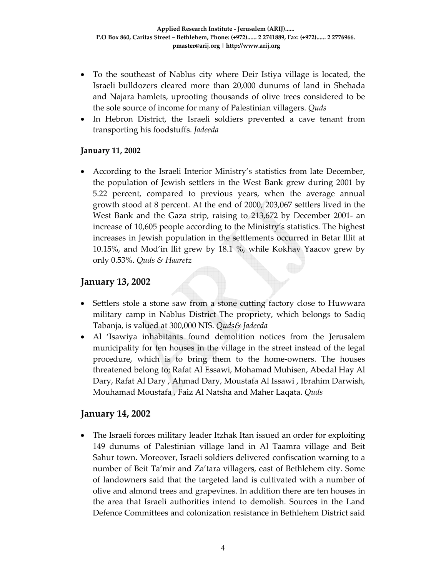- To the southeast of Nablus city where Deir Istiya village is located, the Israeli bulldozers cleared more than 20,000 dunums of land in Shehada and Najara hamlets, uprooting thousands of olive trees considered to be the sole source of income for many of Palestinian villagers. *Quds*
- In Hebron District, the Israeli soldiers prevented a cave tenant from transporting his foodstuffs. *Jadeeda*

#### **January 11, 2002**

• According to the Israeli Interior Ministry's statistics from late December, the population of Jewish settlers in the West Bank grew during 2001 by 5.22 percent, compared to previous years, when the average annual growth stood at 8 percent. At the end of 2000, 203,067 settlers lived in the West Bank and the Gaza strip, raising to 213,672 by December 2001‐ an increase of 10,605 people according to the Ministry's statistics. The highest increases in Jewish population in the settlements occurred in Betar lllit at 10.15%, and Mod'in llit grew by 18.1 %, while Kokhav Yaacov grew by only 0.53%. *Quds & Haaretz*

### **January 13, 2002**

- Settlers stole a stone saw from a stone cutting factory close to Huwwara military camp in Nablus District The propriety, which belongs to Sadiq Tabanja, is valued at 300,000 NIS. *Quds& Jadeeda*
- Al 'Isawiya inhabitants found demolition notices from the Jerusalem municipality for ten houses in the village in the street instead of the legal procedure, which is to bring them to the home‐owners. The houses threatened belong to; Rafat Al Essawi, Mohamad Muhisen, Abedal Hay Al Dary, Rafat Al Dary , Ahmad Dary, Moustafa Al Issawi , Ibrahim Darwish, Mouhamad Moustafa , Faiz Al Natsha and Maher Laqata. *Quds*

### **January 14, 2002**

• The Israeli forces military leader Itzhak Itan issued an order for exploiting 149 dunums of Palestinian village land in Al Taamra village and Beit Sahur town. Moreover, Israeli soldiers delivered confiscation warning to a number of Beit Ta'mir and Za'tara villagers, east of Bethlehem city. Some of landowners said that the targeted land is cultivated with a number of olive and almond trees and grapevines. In addition there are ten houses in the area that Israeli authorities intend to demolish. Sources in the Land Defence Committees and colonization resistance in Bethlehem District said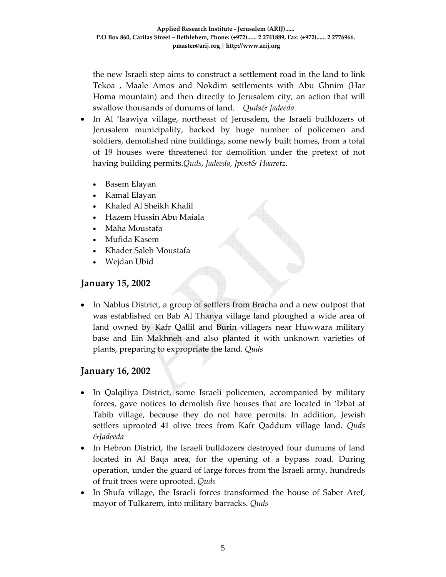the new Israeli step aims to construct a settlement road in the land to link Tekoa , Maale Amos and Nokdim settlements with Abu Ghnim (Har Homa mountain) and then directly to Jerusalem city, an action that will swallow thousands of dunums of land. *Quds& Jadeeda.*

- In Al 'Isawiya village, northeast of Jerusalem, the Israeli bulldozers of Jerusalem municipality, backed by huge number of policemen and soldiers, demolished nine buildings, some newly built homes, from a total of 19 houses were threatened for demolition under the pretext of not having building permits.*Quds, Jadeeda, Jpost& Haaretz.*
	- Basem Elayan
	- Kamal Elayan
	- Khaled Al Sheikh Khalil
	- Hazem Hussin Abu Maiala
	- Maha Moustafa
	- Mufida Kasem
	- Khader Saleh Moustafa
	- Wejdan Ubid

### **January 15, 2002**

• In Nablus District, a group of settlers from Bracha and a new outpost that was established on Bab Al Thanya village land ploughed a wide area of land owned by Kafr Qallil and Burin villagers near Huwwara military base and Ein Makhneh and also planted it with unknown varieties of plants, preparing to expropriate the land. *Quds*

#### **January 16, 2002**

- In Qalqiliya District, some Israeli policemen, accompanied by military forces, gave notices to demolish five houses that are located in 'Izbat at Tabib village, because they do not have permits. In addition, Jewish settlers uprooted 41 olive trees from Kafr Qaddum village land. *Quds &Jadeeda*
- In Hebron District, the Israeli bulldozers destroyed four dunums of land located in Al Baqa area, for the opening of a bypass road. During operation, under the guard of large forces from the Israeli army, hundreds of fruit trees were uprooted. *Quds*
- In Shufa village, the Israeli forces transformed the house of Saber Aref, mayor of Tulkarem, into military barracks. *Quds*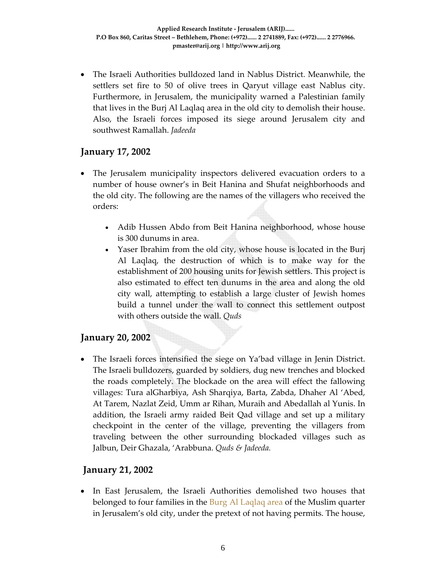• The Israeli Authorities bulldozed land in Nablus District. Meanwhile, the settlers set fire to 50 of olive trees in Qaryut village east Nablus city. Furthermore, in Jerusalem, the municipality warned a Palestinian family that lives in the Burj Al Laqlaq area in the old city to demolish their house. Also, the Israeli forces imposed its siege around Jerusalem city and southwest Ramallah. *Jadeeda*

### **January 17, 2002**

- The Jerusalem municipality inspectors delivered evacuation orders to a number of house owner's in Beit Hanina and Shufat neighborhoods and the old city. The following are the names of the villagers who received the orders:
	- Adib Hussen Abdo from Beit Hanina neighborhood, whose house is 300 dunums in area.
	- Yaser Ibrahim from the old city, whose house is located in the Burj Al Laqlaq, the destruction of which is to make way for the establishment of 200 housing units for Jewish settlers. This project is also estimated to effect ten dunums in the area and along the old city wall, attempting to establish a large cluster of Jewish homes build a tunnel under the wall to connect this settlement outpost with others outside the wall. *Quds*

### **January 20, 2002**

• The Israeli forces intensified the siege on Ya'bad village in Jenin District. The Israeli bulldozers, guarded by soldiers, dug new trenches and blocked the roads completely. The blockade on the area will effect the fallowing villages: Tura alGharbiya, Ash Sharqiya, Barta, Zabda, Dhaher Al 'Abed, At Tarem, Nazlat Zeid, Umm ar Rihan, Muraih and Abedallah al Yunis. In addition, the Israeli army raided Beit Qad village and set up a military checkpoint in the center of the village, preventing the villagers from traveling between the other surrounding blockaded villages such as Jalbun, Deir Ghazala, 'Arabbuna. *Quds & Jadeeda.*

### **January 21, 2002**

• In East Jerusalem, the Israeli Authorities demolished two houses that belonged to four families in the Burg Al Laqlaq area of the Muslim quarter in Jerusalem's old city, under the pretext of not having permits. The house,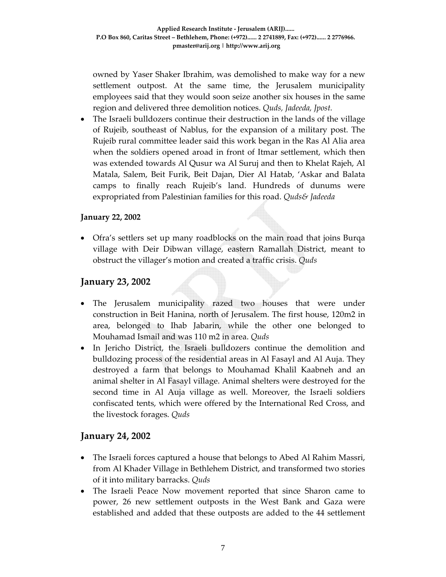owned by Yaser Shaker Ibrahim, was demolished to make way for a new settlement outpost. At the same time, the Jerusalem municipality employees said that they would soon seize another six houses in the same region and delivered three demolition notices. *Quds, Jadeeda, Jpost.*

• The Israeli bulldozers continue their destruction in the lands of the village of Rujeib, southeast of Nablus, for the expansion of a military post. The Rujeib rural committee leader said this work began in the Ras Al Alia area when the soldiers opened aroad in front of Itmar settlement, which then was extended towards Al Qusur wa Al Suruj and then to Khelat Rajeh, Al Matala, Salem, Beit Furik, Beit Dajan, Dier Al Hatab, 'Askar and Balata camps to finally reach Rujeib's land. Hundreds of dunums were expropriated from Palestinian families for this road. *Quds& Jadeeda*

#### **January 22, 2002**

• Ofra's settlers set up many roadblocks on the main road that joins Burqa village with Deir Dibwan village, eastern Ramallah District, meant to obstruct the villager's motion and created a traffic crisis. *Quds*

#### **January 23, 2002**

- The Jerusalem municipality razed two houses that were under construction in Beit Hanina, north of Jerusalem. The first house, 120m2 in area, belonged to Ihab Jabarin, while the other one belonged to Mouhamad Ismail and was 110 m2 in area. *Quds*
- In Jericho District, the Israeli bulldozers continue the demolition and bulldozing process of the residential areas in Al Fasayl and Al Auja. They destroyed a farm that belongs to Mouhamad Khalil Kaabneh and an animal shelter in Al Fasayl village. Animal shelters were destroyed for the second time in Al Auja village as well. Moreover, the Israeli soldiers confiscated tents, which were offered by the International Red Cross, and the livestock forages. *Quds*

#### **January 24, 2002**

- The Israeli forces captured a house that belongs to Abed Al Rahim Massri, from Al Khader Village in Bethlehem District, and transformed two stories of it into military barracks. *Quds*
- The Israeli Peace Now movement reported that since Sharon came to power, 26 new settlement outposts in the West Bank and Gaza were established and added that these outposts are added to the 44 settlement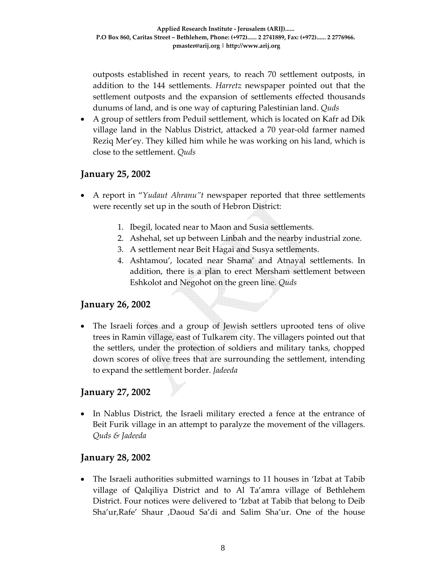outposts established in recent years, to reach 70 settlement outposts, in addition to the 144 settlements. *Harretz* newspaper pointed out that the settlement outposts and the expansion of settlements effected thousands dunums of land, and is one way of capturing Palestinian land. *Quds*

• A group of settlers from Peduil settlement, which is located on Kafr ad Dik village land in the Nablus District, attacked a 70 year‐old farmer named Reziq Mer'ey. They killed him while he was working on his land, which is close to the settlement. *Quds*

### **January 25, 2002**

- A report in "*Yudaut Ahranu"t* newspaper reported that three settlements were recently set up in the south of Hebron District:
	- 1. Ibegil, located near to Maon and Susia settlements.
	- 2. Ashehal, set up between Linbah and the nearby industrial zone.
	- 3. A settlement near Beit Hagai and Susya settlements.
	- 4. Ashtamou', located near Shama' and Atnayal settlements. In addition, there is a plan to erect Mersham settlement between Eshkolot and Negohot on the green line. *Quds*

### **January 26, 2002**

• The Israeli forces and a group of Jewish settlers uprooted tens of olive trees in Ramin village, east of Tulkarem city. The villagers pointed out that the settlers, under the protection of soldiers and military tanks, chopped down scores of olive trees that are surrounding the settlement, intending to expand the settlement border. *Jadeeda*

### **January 27, 2002**

• In Nablus District, the Israeli military erected a fence at the entrance of Beit Furik village in an attempt to paralyze the movement of the villagers. *Quds & Jadeeda*

#### **January 28, 2002**

• The Israeli authorities submitted warnings to 11 houses in 'Izbat at Tabib village of Qalqiliya District and to Al Ta'amra village of Bethlehem District. Four notices were delivered to 'Izbat at Tabib that belong to Deib Sha'ur,Rafe' Shaur ,Daoud Sa'di and Salim Sha'ur. One of the house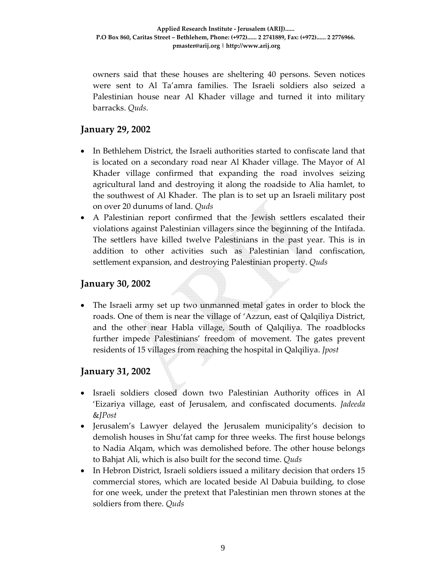owners said that these houses are sheltering 40 persons. Seven notices were sent to Al Ta'amra families. The Israeli soldiers also seized a Palestinian house near Al Khader village and turned it into military barracks. *Quds.*

### **January 29, 2002**

- In Bethlehem District, the Israeli authorities started to confiscate land that is located on a secondary road near Al Khader village. The Mayor of Al Khader village confirmed that expanding the road involves seizing agricultural land and destroying it along the roadside to Alia hamlet, to the southwest of Al Khader. The plan is to set up an Israeli military post on over 20 dunums of land. *Quds*
- A Palestinian report confirmed that the Jewish settlers escalated their violations against Palestinian villagers since the beginning of the Intifada. The settlers have killed twelve Palestinians in the past year. This is in addition to other activities such as Palestinian land confiscation, settlement expansion, and destroying Palestinian property. *Quds*

### **January 30, 2002**

• The Israeli army set up two unmanned metal gates in order to block the roads. One of them is near the village of 'Azzun, east of Qalqiliya District, and the other near Habla village, South of Qalqiliya. The roadblocks further impede Palestinians' freedom of movement. The gates prevent residents of 15 villages from reaching the hospital in Qalqiliya. *Jpost*

#### **January 31, 2002**

- Israeli soldiers closed down two Palestinian Authority offices in Al 'Eizariya village, east of Jerusalem, and confiscated documents. *Jadeeda* &*JPost*
- Jerusalem's Lawyer delayed the Jerusalem municipality's decision to demolish houses in Shu'fat camp for three weeks. The first house belongs to Nadia Alqam, which was demolished before. The other house belongs to Bahjat Ali, which is also built for the second time. *Quds*
- In Hebron District, Israeli soldiers issued a military decision that orders 15 commercial stores, which are located beside Al Dabuia building, to close for one week, under the pretext that Palestinian men thrown stones at the soldiers from there. *Quds*